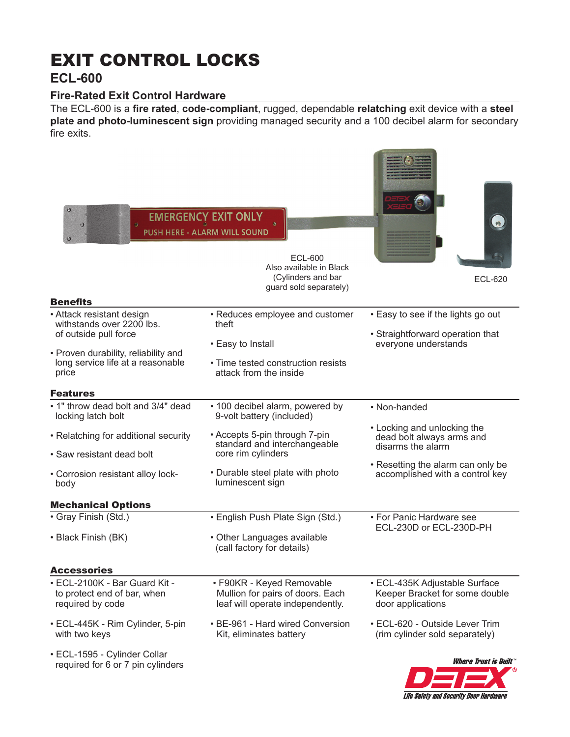# EXIT CONTROL LOCKS

## **ECL-600**

### **Fire-Rated Exit Control Hardware**

The ECL-600 is a **fire rated**, **code-compliant**, rugged, dependable **relatching** exit device with a **steel plate and photo-luminescent sign** providing managed security and a 100 decibel alarm for secondary fire exits.

| $\circ$<br>$\bullet$<br><b>Benefits</b>                                   | <b>EMERGENCY EXIT ONLY</b><br><b>PUSH HERE - ALARM WILL SOUND</b><br>ECL-600<br>Also available in Black<br>(Cylinders and bar<br>guard sold separately) | <b>ECL-620</b>                                                       |
|---------------------------------------------------------------------------|---------------------------------------------------------------------------------------------------------------------------------------------------------|----------------------------------------------------------------------|
| • Attack resistant design                                                 | • Reduces employee and customer                                                                                                                         | • Easy to see if the lights go out                                   |
| withstands over 2200 lbs.                                                 | theft                                                                                                                                                   |                                                                      |
| of outside pull force                                                     | • Easy to Install                                                                                                                                       | • Straightforward operation that<br>everyone understands             |
| • Proven durability, reliability and<br>long service life at a reasonable | • Time tested construction resists                                                                                                                      |                                                                      |
| price                                                                     | attack from the inside                                                                                                                                  |                                                                      |
| <b>Features</b>                                                           |                                                                                                                                                         |                                                                      |
| . 1" throw dead bolt and 3/4" dead                                        |                                                                                                                                                         |                                                                      |
| locking latch bolt                                                        | • 100 decibel alarm, powered by<br>9-volt battery (included)                                                                                            | • Non-handed                                                         |
| • Relatching for additional security                                      | • Accepts 5-pin through 7-pin                                                                                                                           | • Locking and unlocking the<br>dead bolt always arms and             |
| • Saw resistant dead bolt                                                 | standard and interchangeable<br>core rim cylinders                                                                                                      | disarms the alarm                                                    |
| • Corrosion resistant alloy lock-<br>body                                 | • Durable steel plate with photo<br>luminescent sign                                                                                                    | • Resetting the alarm can only be<br>accomplished with a control key |
| <b>Mechanical Options</b>                                                 |                                                                                                                                                         |                                                                      |
| · Gray Finish (Std.)                                                      | • English Push Plate Sign (Std.)                                                                                                                        | • For Panic Hardware see<br>ECL-230D or ECL-230D-PH                  |
| • Black Finish (BK)                                                       | • Other Languages available<br>(call factory for details)                                                                                               |                                                                      |
| Accessories                                                               |                                                                                                                                                         |                                                                      |
| • ECL-2100K - Bar Guard Kit -                                             | • F90KR - Keyed Removable                                                                                                                               | • ECL-435K Adjustable Surface                                        |
| to protect end of bar, when<br>required by code                           | Mullion for pairs of doors. Each<br>leaf will operate independently.                                                                                    | Keeper Bracket for some double<br>door applications                  |
| • ECL-445K - Rim Cylinder, 5-pin<br>with two keys                         | • BE-961 - Hard wired Conversion<br>Kit, eliminates battery                                                                                             | • ECL-620 - Outside Lever Trim<br>(rim cylinder sold separately)     |
| • ECL-1595 - Cylinder Collar<br>required for 6 or 7 pin cylinders         |                                                                                                                                                         | <i><b>Where Trust is Built "</b></i>                                 |